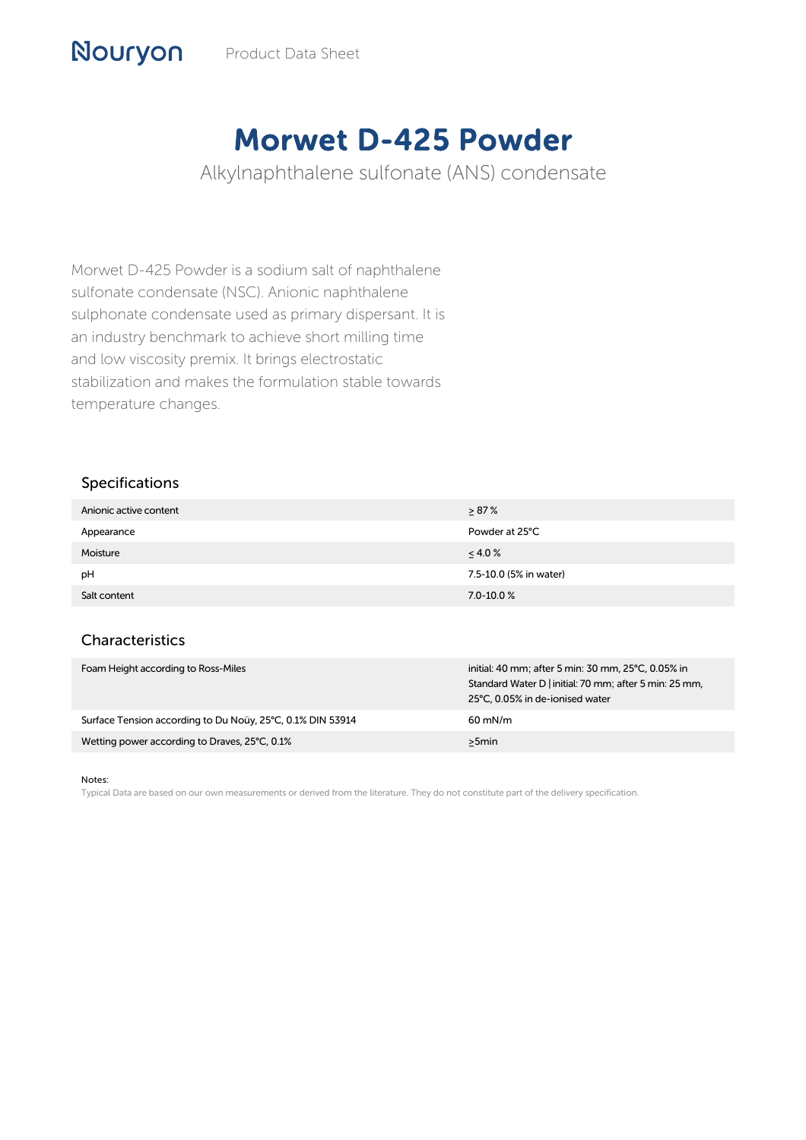## Morwet D-425 Powder

Alkylnaphthalene sulfonate (ANS) condensate

Morwet D-425 Powder is a sodium salt of naphthalene sulfonate condensate (NSC). Anionic naphthalene sulphonate condensate used as primary dispersant. It is an industry benchmark to achieve short milling time and low viscosity premix. It brings electrostatic stabilization and makes the formulation stable towards temperature changes.

## Specifications

Nouryon

| Anionic active content | $> 87\%$               |
|------------------------|------------------------|
| Appearance             | Powder at 25°C         |
| Moisture               | $\leq 4.0 \%$          |
| pH                     | 7.5-10.0 (5% in water) |
| Salt content           | $7.0 - 10.0 %$         |

## Characteristics

| Foam Height according to Ross-Miles                        | initial: 40 mm; after 5 min: 30 mm, 25°C, 0.05% in<br>Standard Water D   initial: 70 mm; after 5 min: 25 mm,<br>25°C, 0.05% in de-ionised water |
|------------------------------------------------------------|-------------------------------------------------------------------------------------------------------------------------------------------------|
| Surface Tension according to Du Noüy, 25°C, 0.1% DIN 53914 | $60 \text{ mN/m}$                                                                                                                               |
| Wetting power according to Draves, 25°C, 0.1%              | >5min                                                                                                                                           |

Notes:

Typical Data are based on our own measurements or derived from the literature. They do not constitute part of the delivery specification.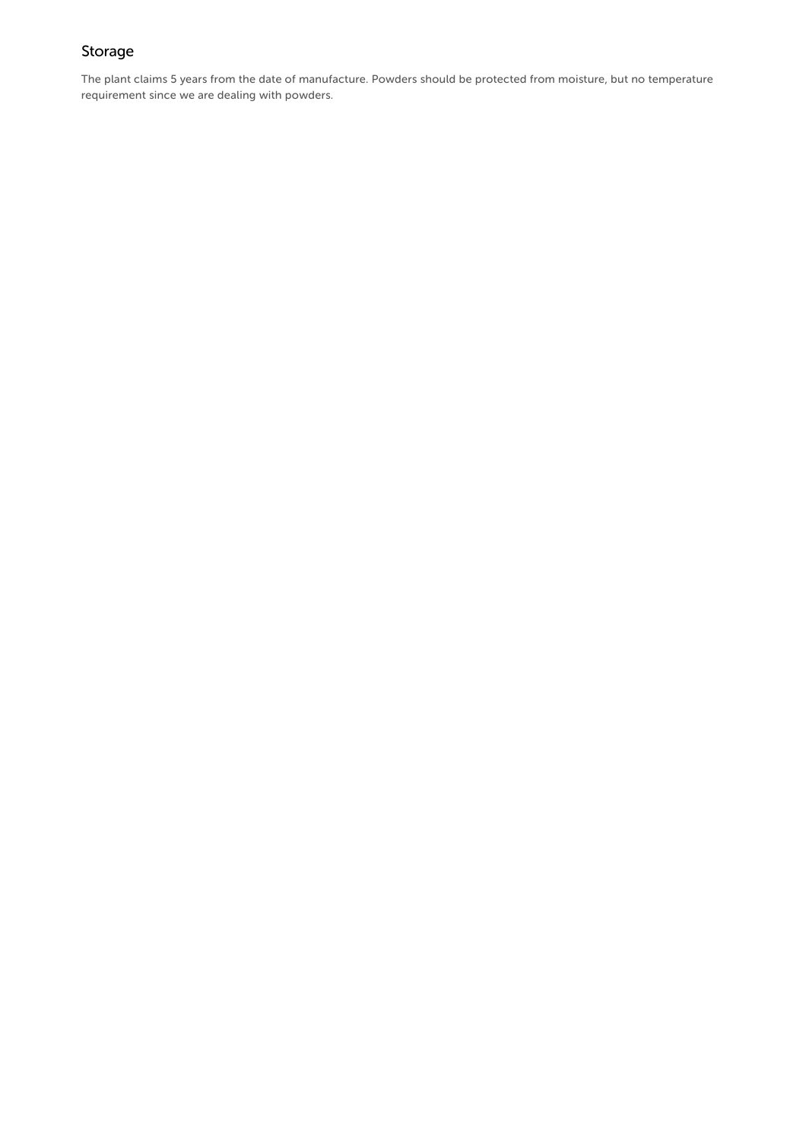## Storage

The plant claims 5 years from the date of manufacture. Powders should be protected from moisture, but no temperature requirement since we are dealing with powders.